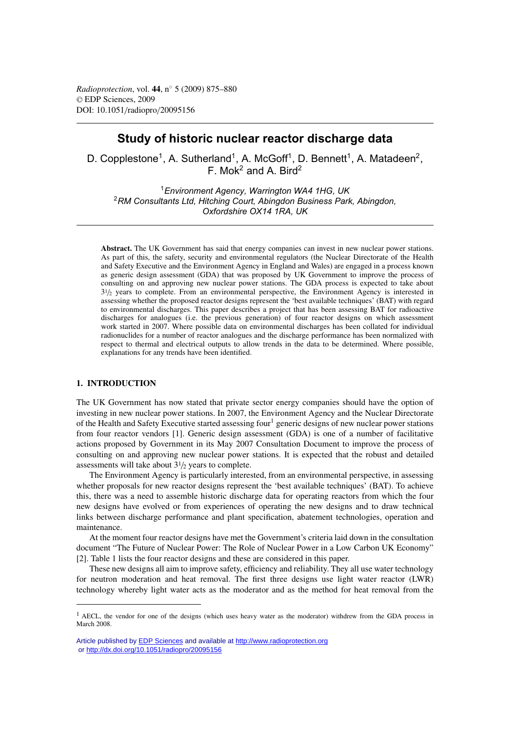*Radioprotection*, vol. **44**, n◦ 5 (2009) 875–880 © EDP Sciences, 2009 DOI: 10.1051/radiopro/20095156

# **Study of historic nuclear reactor discharge data**

D. Copplestone<sup>1</sup>, A. Sutherland<sup>1</sup>, A. McGoff<sup>1</sup>, D. Bennett<sup>1</sup>, A. Matadeen<sup>2</sup>, F. Mok<sup>2</sup> and A. Bird<sup>2</sup>

<sup>1</sup>*Environment Agency, Warrington WA4 1HG, UK* <sup>2</sup>*RM Consultants Ltd, Hitching Court, Abingdon Business Park, Abingdon, Oxfordshire OX14 1RA, UK*

**Abstract.** The UK Government has said that energy companies can invest in new nuclear power stations. As part of this, the safety, security and environmental regulators (the Nuclear Directorate of the Health and Safety Executive and the Environment Agency in England and Wales) are engaged in a process known as generic design assessment (GDA) that was proposed by UK Government to improve the process of consulting on and approving new nuclear power stations. The GDA process is expected to take about  $3^{1}/_{2}$  years to complete. From an environmental perspective, the Environment Agency is interested in assessing whether the proposed reactor designs represent the 'best available techniques' (BAT) with regard to environmental discharges. This paper describes a project that has been assessing BAT for radioactive discharges for analogues (i.e. the previous generation) of four reactor designs on which assessment work started in 2007. Where possible data on environmental discharges has been collated for individual radionuclides for a number of reactor analogues and the discharge performance has been normalized with respect to thermal and electrical outputs to allow trends in the data to be determined. Where possible, explanations for any trends have been identified.

## **1. INTRODUCTION**

The UK Government has now stated that private sector energy companies should have the option of investing in new nuclear power stations. In 2007, the Environment Agency and the Nuclear Directorate of the Health and Safety Executive started assessing four<sup>1</sup> generic designs of new nuclear power stations from four reactor vendors [1]. Generic design assessment (GDA) is one of a number of facilitative actions proposed by Government in its May 2007 Consultation Document to improve the process of consulting on and approving new nuclear power stations. It is expected that the robust and detailed assessments will take about  $3\frac{1}{2}$  years to complete.

The Environment Agency is particularly interested, from an environmental perspective, in assessing whether proposals for new reactor designs represent the 'best available techniques' (BAT). To achieve this, there was a need to assemble historic discharge data for operating reactors from which the four new designs have evolved or from experiences of operating the new designs and to draw technical links between discharge performance and plant specification, abatement technologies, operation and maintenance.

At the moment four reactor designs have met the Government's criteria laid down in the consultation document "The Future of Nuclear Power: The Role of Nuclear Power in a Low Carbon UK Economy" [2]. Table 1 lists the four reactor designs and these are considered in this paper.

These new designs all aim to improve safety, efficiency and reliability. They all use water technology for neutron moderation and heat removal. The first three designs use light water reactor (LWR) technology whereby light water acts as the moderator and as the method for heat removal from the

<sup>&</sup>lt;sup>1</sup> AECL, the vendor for one of the designs (which uses heavy water as the moderator) withdrew from the GDA process in March 2008.

Article published by [EDP Sciences](http://www.edpsciences.org) and available at<http://www.radioprotection.org> or <http://dx.doi.org/10.1051/radiopro/20095156>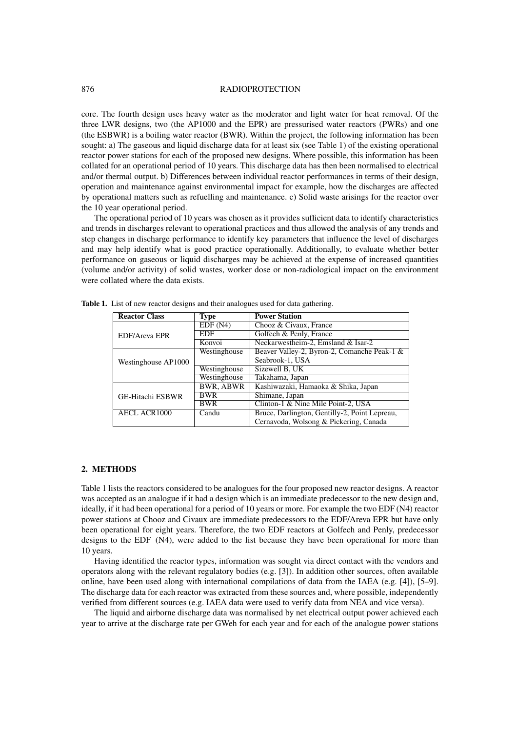#### 876 RADIOPROTECTION

core. The fourth design uses heavy water as the moderator and light water for heat removal. Of the three LWR designs, two (the AP1000 and the EPR) are pressurised water reactors (PWRs) and one (the ESBWR) is a boiling water reactor (BWR). Within the project, the following information has been sought: a) The gaseous and liquid discharge data for at least six (see Table 1) of the existing operational reactor power stations for each of the proposed new designs. Where possible, this information has been collated for an operational period of 10 years. This discharge data has then been normalised to electrical and/or thermal output. b) Differences between individual reactor performances in terms of their design, operation and maintenance against environmental impact for example, how the discharges are affected by operational matters such as refuelling and maintenance. c) Solid waste arisings for the reactor over the 10 year operational period.

The operational period of 10 years was chosen as it provides sufficient data to identify characteristics and trends in discharges relevant to operational practices and thus allowed the analysis of any trends and step changes in discharge performance to identify key parameters that influence the level of discharges and may help identify what is good practice operationally. Additionally, to evaluate whether better performance on gaseous or liquid discharges may be achieved at the expense of increased quantities (volume and/or activity) of solid wastes, worker dose or non-radiological impact on the environment were collated where the data exists.

| <b>Reactor Class</b>    | <b>Type</b>      | <b>Power Station</b>                          |  |  |
|-------------------------|------------------|-----------------------------------------------|--|--|
|                         | EDF(N4)          | Chooz & Civaux, France                        |  |  |
| <b>EDF/Areva EPR</b>    | EDF              | Golfech & Penly, France                       |  |  |
|                         | Konvoi           | Neckarwestheim-2, Emsland & Isar-2            |  |  |
|                         | Westinghouse     | Beaver Valley-2, Byron-2, Comanche Peak-1 &   |  |  |
| Westinghouse AP1000     |                  | Seabrook-1, USA                               |  |  |
|                         | Westinghouse     | Sizewell B, UK                                |  |  |
|                         | Westinghouse     | Takahama, Japan                               |  |  |
|                         | <b>BWR, ABWR</b> | Kashiwazaki, Hamaoka & Shika, Japan           |  |  |
| <b>GE-Hitachi ESBWR</b> | <b>BWR</b>       | Shimane, Japan                                |  |  |
|                         | <b>BWR</b>       | Clinton-1 & Nine Mile Point-2, USA            |  |  |
| <b>AECL ACR1000</b>     | Candu            | Bruce, Darlington, Gentilly-2, Point Lepreau, |  |  |
|                         |                  | Cernavoda, Wolsong & Pickering, Canada        |  |  |

**Table 1.** List of new reactor designs and their analogues used for data gathering.

#### **2. METHODS**

Table 1 lists the reactors considered to be analogues for the four proposed new reactor designs. A reactor was accepted as an analogue if it had a design which is an immediate predecessor to the new design and, ideally, if it had been operational for a period of 10 years or more. For example the two EDF (N4) reactor power stations at Chooz and Civaux are immediate predecessors to the EDF/Areva EPR but have only been operational for eight years. Therefore, the two EDF reactors at Golfech and Penly, predecessor designs to the EDF (N4), were added to the list because they have been operational for more than 10 years.

Having identified the reactor types, information was sought via direct contact with the vendors and operators along with the relevant regulatory bodies (e.g. [3]). In addition other sources, often available online, have been used along with international compilations of data from the IAEA (e.g. [4]), [5–9]. The discharge data for each reactor was extracted from these sources and, where possible, independently verified from different sources (e.g. IAEA data were used to verify data from NEA and vice versa).

The liquid and airborne discharge data was normalised by net electrical output power achieved each year to arrive at the discharge rate per GWeh for each year and for each of the analogue power stations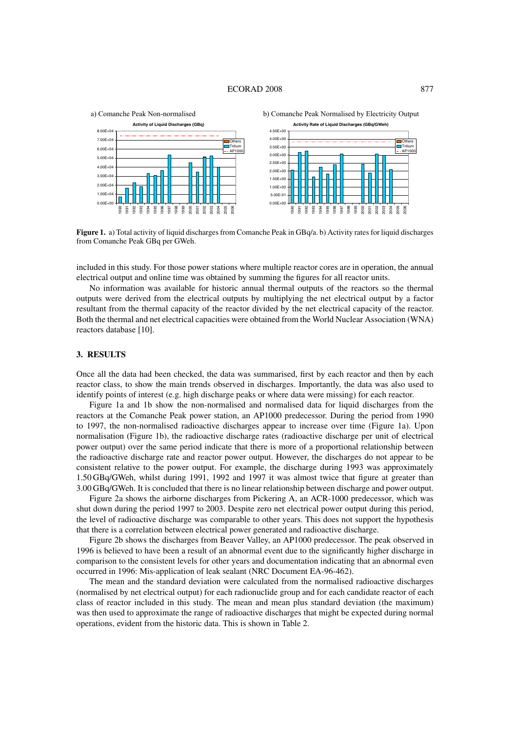

**Figure 1.** a) Total activity of liquid discharges from Comanche Peak in GBq/a. b) Activity rates for liquid discharges from Comanche Peak GBq per GWeh.

included in this study. For those power stations where multiple reactor cores are in operation, the annual electrical output and online time was obtained by summing the figures for all reactor units.

No information was available for historic annual thermal outputs of the reactors so the thermal outputs were derived from the electrical outputs by multiplying the net electrical output by a factor resultant from the thermal capacity of the reactor divided by the net electrical capacity of the reactor. Both the thermal and net electrical capacities were obtained from the World Nuclear Association (WNA) reactors database [10].

#### **3. RESULTS**

Once all the data had been checked, the data was summarised, first by each reactor and then by each reactor class, to show the main trends observed in discharges. Importantly, the data was also used to identify points of interest (e.g. high discharge peaks or where data were missing) for each reactor.

Figure 1a and 1b show the non-normalised and normalised data for liquid discharges from the reactors at the Comanche Peak power station, an AP1000 predecessor. During the period from 1990 to 1997, the non-normalised radioactive discharges appear to increase over time (Figure 1a). Upon normalisation (Figure 1b), the radioactive discharge rates (radioactive discharge per unit of electrical power output) over the same period indicate that there is more of a proportional relationship between the radioactive discharge rate and reactor power output. However, the discharges do not appear to be consistent relative to the power output. For example, the discharge during 1993 was approximately 1.50 GBq/GWeh, whilst during 1991, 1992 and 1997 it was almost twice that figure at greater than 3.00 GBq/GWeh. It is concluded that there is no linear relationship between discharge and power output.

Figure 2a shows the airborne discharges from Pickering A, an ACR-1000 predecessor, which was shut down during the period 1997 to 2003. Despite zero net electrical power output during this period, the level of radioactive discharge was comparable to other years. This does not support the hypothesis that there is a correlation between electrical power generated and radioactive discharge.

Figure 2b shows the discharges from Beaver Valley, an AP1000 predecessor. The peak observed in 1996 is believed to have been a result of an abnormal event due to the significantly higher discharge in comparison to the consistent levels for other years and documentation indicating that an abnormal even occurred in 1996: Mis-application of leak sealant (NRC Document EA-96-462).

The mean and the standard deviation were calculated from the normalised radioactive discharges (normalised by net electrical output) for each radionuclide group and for each candidate reactor of each class of reactor included in this study. The mean and mean plus standard deviation (the maximum) was then used to approximate the range of radioactive discharges that might be expected during normal operations, evident from the historic data. This is shown in Table 2.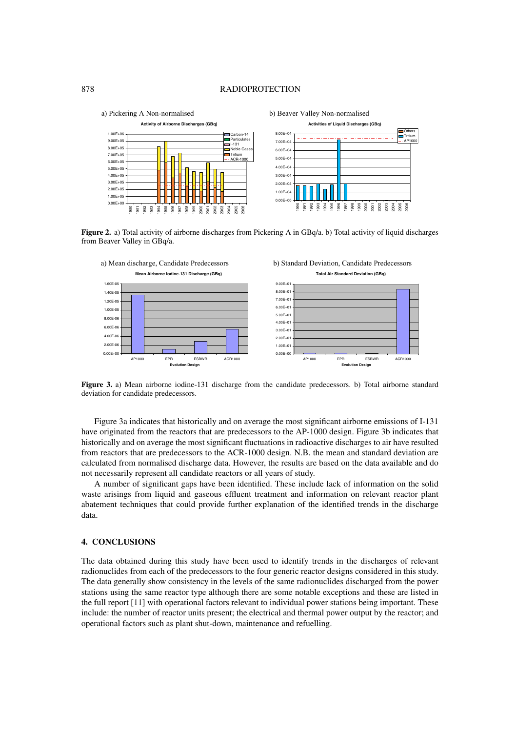#### 878 RADIOPROTECTION



**Figure 2.** a) Total activity of airborne discharges from Pickering A in GBq/a. b) Total activity of liquid discharges from Beaver Valley in GBq/a.



**Figure 3.** a) Mean airborne iodine-131 discharge from the candidate predecessors. b) Total airborne standard deviation for candidate predecessors.

Figure 3a indicates that historically and on average the most significant airborne emissions of I-131 have originated from the reactors that are predecessors to the AP-1000 design. Figure 3b indicates that historically and on average the most significant fluctuations in radioactive discharges to air have resulted from reactors that are predecessors to the ACR-1000 design. N.B. the mean and standard deviation are calculated from normalised discharge data. However, the results are based on the data available and do not necessarily represent all candidate reactors or all years of study.

A number of significant gaps have been identified. These include lack of information on the solid waste arisings from liquid and gaseous effluent treatment and information on relevant reactor plant abatement techniques that could provide further explanation of the identified trends in the discharge data.

### **4. CONCLUSIONS**

The data obtained during this study have been used to identify trends in the discharges of relevant radionuclides from each of the predecessors to the four generic reactor designs considered in this study. The data generally show consistency in the levels of the same radionuclides discharged from the power stations using the same reactor type although there are some notable exceptions and these are listed in the full report [11] with operational factors relevant to individual power stations being important. These include: the number of reactor units present; the electrical and thermal power output by the reactor; and operational factors such as plant shut-down, maintenance and refuelling.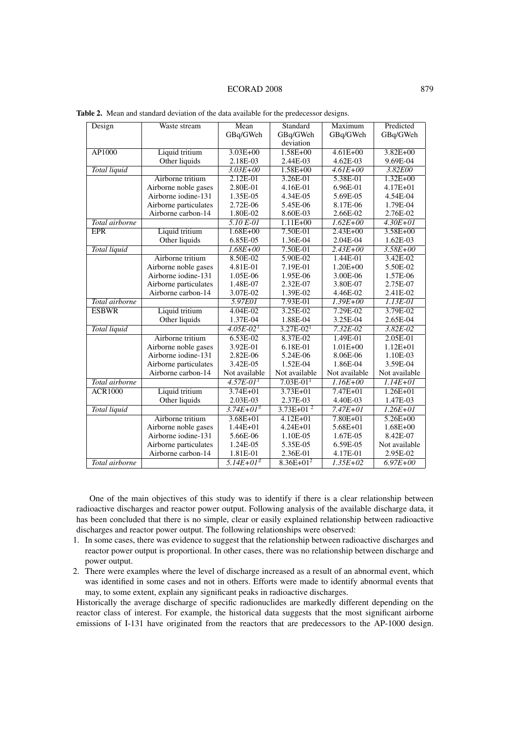| Design              | Waste stream          | Mean           | Standard       | Maximum       | Predicted     |
|---------------------|-----------------------|----------------|----------------|---------------|---------------|
|                     |                       | GBq/GWeh       | GBq/GWeh       | GBq/GWeh      | GBq/GWeh      |
|                     |                       |                | deviation      |               |               |
| <b>AP1000</b>       | Liquid tritium        | $3.03E + 00$   | $1.58E + 00$   | $4.61E + 00$  | $3.82E + 00$  |
|                     | Other liquids         | 2.18E-03       | 2.44E-03       | $4.62E-03$    | 9.69E-04      |
| <b>Total liquid</b> |                       | $3.03E + 00$   | $1.58E + 00$   | $4.61E + 00$  | 3.82E00       |
|                     | Airborne tritium      | 2.12E-01       | 3.26E-01       | 5.38E-01      | $1.32E + 00$  |
|                     | Airborne noble gases  | 2.80E-01       | 4.16E-01       | 6.96E-01      | 4.17E+01      |
|                     | Airborne iodine-131   | 1.35E-05       | 4.34E-05       | 5.69E-05      | 4.54E-04      |
|                     | Airborne particulates | 2.72E-06       | 5.45E-06       | 8.17E-06      | 1.79E-04      |
|                     | Airborne carbon-14    | 1.80E-02       | 8.60E-03       | 2.66E-02      | 2.76E-02      |
| Total airborne      |                       | $5.10E-01$     | $1.11E + 00$   | $1.62E + 00$  | $4.30E + 01$  |
| <b>EPR</b>          | Liquid tritium        | $1.68E + 00$   | 7.50E-01       | $2.43E + 00$  | $3.58E + 00$  |
|                     | Other liquids         | 6.85E-05       | 1.36E-04       | 2.04E-04      | 1.62E-03      |
| Total liquid        |                       | $1.68E + 00$   | 7.50E-01       | $2.43E + 00$  | $3.58E + 00$  |
|                     | Airborne tritium      | 8.50E-02       | 5.90E-02       | 1.44E-01      | 3.42E-02      |
|                     | Airborne noble gases  | 4.81E-01       | 7.19E-01       | $1.20E + 00$  | 5.50E-02      |
|                     | Airborne iodine-131   | 1.05E-06       | 1.95E-06       | 3.00E-06      | 1.57E-06      |
|                     | Airborne particulates | 1.48E-07       | 2.32E-07       | 3.80E-07      | 2.75E-07      |
|                     | Airborne carbon-14    | 3.07E-02       | 1.39E-02       | 4.46E-02      | 2.41E-02      |
| Total airborne      |                       | 5.97E01        | $7.93E-01$     | $1.39E + 00$  | 1.13E-01      |
| <b>ESBWR</b>        | Liquid tritium        | 4.04E-02       | $3.25E-02$     | $7.29E-02$    | 3.79E-02      |
|                     | Other liquids         | 1.37E-04       | 1.88E-04       | 3.25E-04      | 2.65E-04      |
| Total liquid        |                       | $4.05E - 02T$  | $3.27E - 021$  | $7.32E - 02$  | $3.82E - 02$  |
|                     | Airborne tritium      | 6.53E-02       | 8.37E-02       | 1.49E-01      | 2.05E-01      |
|                     | Airborne noble gases  | 3.92E-01       | 6.18E-01       | $1.01E + 00$  | $1.12E + 01$  |
|                     | Airborne iodine-131   | 2.82E-06       | 5.24E-06       | 8.06E-06      | 1.10E-03      |
|                     | Airborne particulates | 3.42E-05       | 1.52E-04       | 1.86E-04      | 3.59E-04      |
|                     | Airborne carbon-14    | Not available  | Not available  | Not available | Not available |
| Total airborne      |                       | $4.57E - 011$  | $7.03E - 011$  | $1.16E + 00$  | $1.14E + 01$  |
| <b>ACR1000</b>      | Liquid tritium        | $3.74E + 01$   | $3.73E + 01$   | $7.47E + 01$  | $1.26E + 01$  |
|                     | Other liquids         | 2.03E-03       | 2.37E-03       | 4.40E-03      | 1.47E-03      |
| Total liquid        |                       | $3.74E+01^{2}$ | $3.73E+01^{2}$ | $7.47E + 01$  | $1.26E + 01$  |
|                     | Airborne tritium      | $3.68E + 01$   | $4.12E + 01$   | 7.80E+01      | $5.26E + 00$  |
|                     | Airborne noble gases  | $1.44E + 01$   | $4.24E + 01$   | 5.68E+01      | $1.68E + 00$  |
|                     | Airborne iodine-131   | 5.66E-06       | 1.10E-05       | 1.67E-05      | 8.42E-07      |
|                     | Airborne particulates | 1.24E-05       | 5.35E-05       | 6.59E-05      | Not available |
|                     | Airborne carbon-14    | 1.81E-01       | 2.36E-01       | 4.17E-01      | 2.95E-02      |
| Total airborne      |                       | $5.14E+01^{2}$ | $8.36E+01^2$   | $1.35E + 02$  | $6.97E + 00$  |
|                     |                       |                |                |               |               |

**Table 2.** Mean and standard deviation of the data available for the predecessor designs.

One of the main objectives of this study was to identify if there is a clear relationship between radioactive discharges and reactor power output. Following analysis of the available discharge data, it has been concluded that there is no simple, clear or easily explained relationship between radioactive discharges and reactor power output. The following relationships were observed:

- 1. In some cases, there was evidence to suggest that the relationship between radioactive discharges and reactor power output is proportional. In other cases, there was no relationship between discharge and power output.
- 2. There were examples where the level of discharge increased as a result of an abnormal event, which was identified in some cases and not in others. Efforts were made to identify abnormal events that may, to some extent, explain any significant peaks in radioactive discharges.

Historically the average discharge of specific radionuclides are markedly different depending on the reactor class of interest. For example, the historical data suggests that the most significant airborne emissions of I-131 have originated from the reactors that are predecessors to the AP-1000 design.